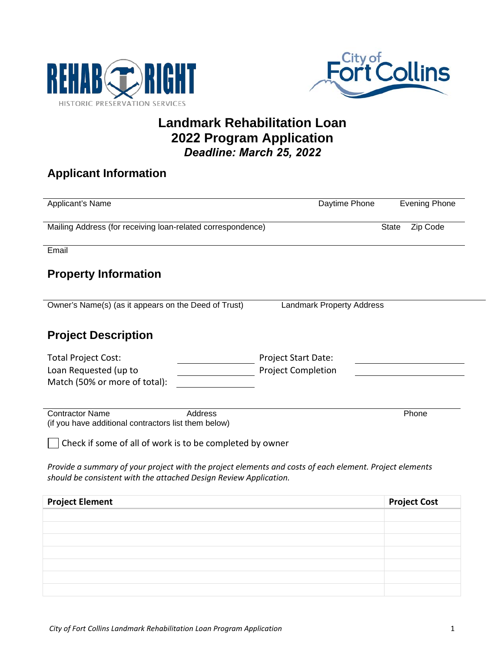



## **Landmark Rehabilitation Loan 2022 Program Application** *Deadline: March 25, 2022*

# **Applicant Information**

| Applicant's Name                                                                                                                                                             | Daytime Phone                    | <b>Evening Phone</b>     |
|------------------------------------------------------------------------------------------------------------------------------------------------------------------------------|----------------------------------|--------------------------|
| Mailing Address (for receiving loan-related correspondence)                                                                                                                  |                                  | Zip Code<br><b>State</b> |
| Email                                                                                                                                                                        |                                  |                          |
| <b>Property Information</b>                                                                                                                                                  |                                  |                          |
| Owner's Name(s) (as it appears on the Deed of Trust)                                                                                                                         | <b>Landmark Property Address</b> |                          |
|                                                                                                                                                                              |                                  |                          |
| <b>Project Description</b>                                                                                                                                                   |                                  |                          |
| <b>Total Project Cost:</b>                                                                                                                                                   | <b>Project Start Date:</b>       |                          |
| Loan Requested (up to<br>Match (50% or more of total):                                                                                                                       | <b>Project Completion</b>        |                          |
|                                                                                                                                                                              |                                  |                          |
| <b>Address</b><br><b>Contractor Name</b><br>(if you have additional contractors list them below)                                                                             |                                  | Phone                    |
| Check if some of all of work is to be completed by owner                                                                                                                     |                                  |                          |
| Provide a summary of your project with the project elements and costs of each element. Project elements<br>should be consistent with the attached Design Review Application. |                                  |                          |
| <b>Project Element</b>                                                                                                                                                       |                                  | <b>Project Cost</b>      |
|                                                                                                                                                                              |                                  |                          |
|                                                                                                                                                                              |                                  |                          |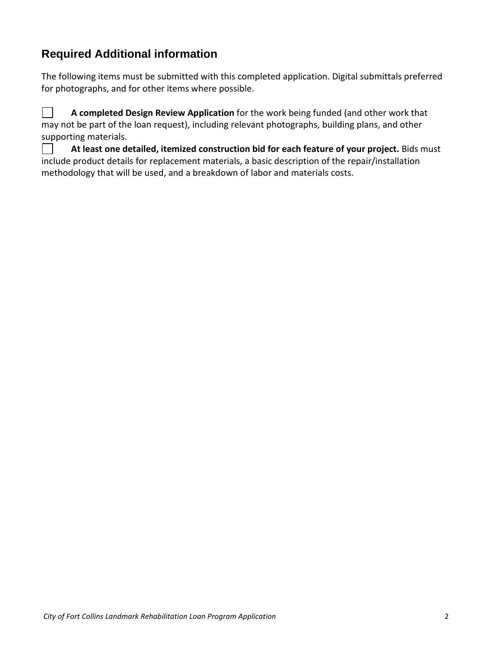## **Required Additional information**

The following items must be submitted with this completed application. Digital submittals preferred for photographs, and for other items where possible.

 $\Box$ **A completed Design Review Application** for the work being funded (and other work that may not be part of the loan request), including relevant photographs, building plans, and other supporting materials.

**At least one detailed, itemized construction bid for each feature of your project.** Bids must include product details for replacement materials, a basic description of the repair/installation methodology that will be used, and a breakdown of labor and materials costs.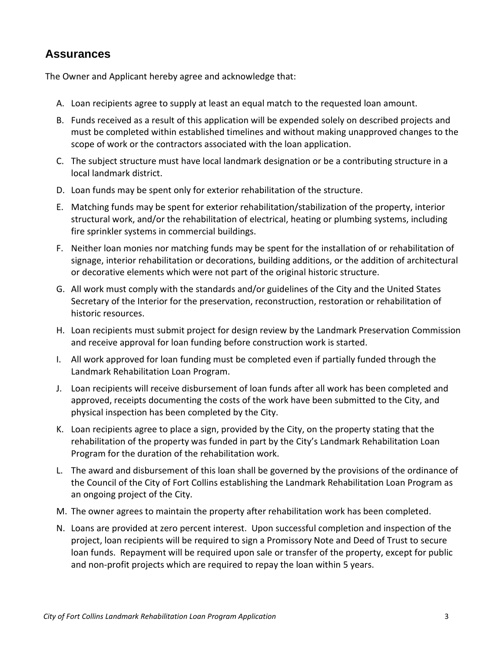### **Assurances**

The Owner and Applicant hereby agree and acknowledge that:

- A. Loan recipients agree to supply at least an equal match to the requested loan amount.
- B. Funds received as a result of this application will be expended solely on described projects and must be completed within established timelines and without making unapproved changes to the scope of work or the contractors associated with the loan application.
- C. The subject structure must have local landmark designation or be a contributing structure in a local landmark district.
- D. Loan funds may be spent only for exterior rehabilitation of the structure.
- E. Matching funds may be spent for exterior rehabilitation/stabilization of the property, interior structural work, and/or the rehabilitation of electrical, heating or plumbing systems, including fire sprinkler systems in commercial buildings.
- F. Neither loan monies nor matching funds may be spent for the installation of or rehabilitation of signage, interior rehabilitation or decorations, building additions, or the addition of architectural or decorative elements which were not part of the original historic structure.
- G. All work must comply with the standards and/or guidelines of the City and the United States Secretary of the Interior for the preservation, reconstruction, restoration or rehabilitation of historic resources.
- H. Loan recipients must submit project for design review by the Landmark Preservation Commission and receive approval for loan funding before construction work is started.
- I. All work approved for loan funding must be completed even if partially funded through the Landmark Rehabilitation Loan Program.
- J. Loan recipients will receive disbursement of loan funds after all work has been completed and approved, receipts documenting the costs of the work have been submitted to the City, and physical inspection has been completed by the City.
- K. Loan recipients agree to place a sign, provided by the City, on the property stating that the rehabilitation of the property was funded in part by the City's Landmark Rehabilitation Loan Program for the duration of the rehabilitation work.
- L. The award and disbursement of this loan shall be governed by the provisions of the ordinance of the Council of the City of Fort Collins establishing the Landmark Rehabilitation Loan Program as an ongoing project of the City.
- M. The owner agrees to maintain the property after rehabilitation work has been completed.
- N. Loans are provided at zero percent interest. Upon successful completion and inspection of the project, loan recipients will be required to sign a Promissory Note and Deed of Trust to secure loan funds. Repayment will be required upon sale or transfer of the property, except for public and non-profit projects which are required to repay the loan within 5 years.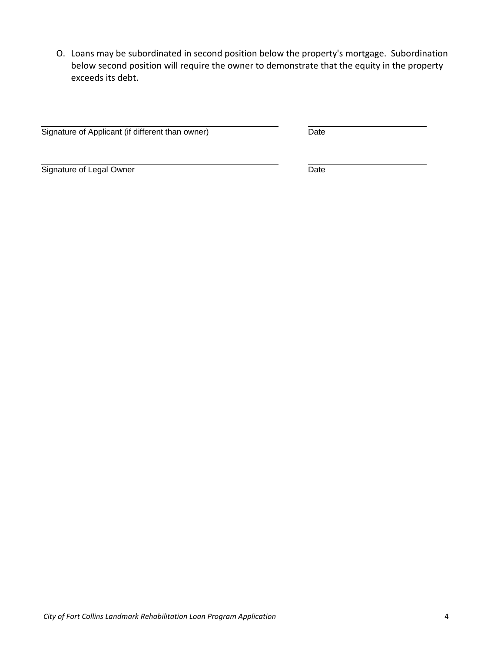O. Loans may be subordinated in second position below the property's mortgage. Subordination below second position will require the owner to demonstrate that the equity in the property exceeds its debt.

Signature of Applicant (if different than owner) Date

Signature of Legal Owner Date